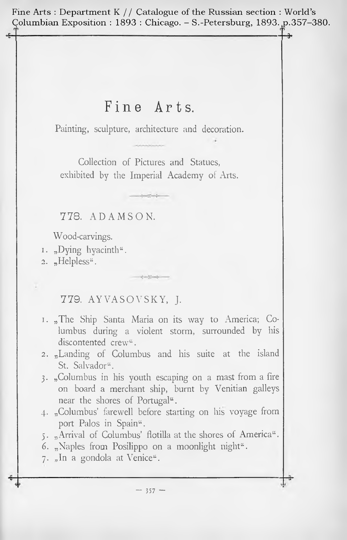Fine Arts : Department K // Catalogue of the Russian section : World's Columbian Exposition : <sup>1893</sup> : Chicago. - S.-Petersburg, 1893. p.357-380.

# Fine Arts.

Painting, sculpture, architecture and decoration.

Collection of Pictures and Statues, exhibited by the Imperial Academy of Arts.

 $-22 - 4$ 

778. ADAMSON.

Wood-carvings.

- 1. "Dying hyacinth".
- 2. "Helpless".

# 779. AYVASOVSKY, J.

- 1. "The Ship Santa Maria on its way to America; Columbus during a violent storm, surrounded by his discontented crew<sup>"</sup>.
- 2. "Landing of Columbus and his suite at the island St. Salvador".
- 3. "Columbus in his youth escaping on a mast from a fire on board a merchant ship, burnt by Venitian galleys near the shores of Portugal".
- 4. "Columbus' farewell before starting on his voyage from port Palos in Spain".
- 5. "Arrival of Columbus' flotilla at the shores of America".
- 6. "Naples from Posilippo on a moonlight night".
- 7. "In a gondola at Venice".

 $-357 -$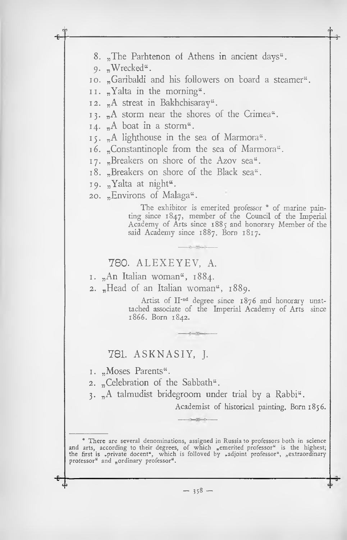8. "The Parhtenon of Athens in ancient days". 9. "Wrecked". 10. "Garibaldi and his followers on board a steamer". 11. "Yalta in the morning". 12. "A streat in Bakhchisaray". 13. A storm near the shores of the Crimea<sup>"</sup>. 14.  $_{n}$ A boat in a storm". 15. "A lighthouse in the sea of Marmora". 16. "Constantinople from the sea of Marmora". 17. "Breakers on shore of the Azov sea". 18. "Breakers on shore of the Black sea". 19. "Yalta at night". 20. "Environs of Malaga". The exhibitor is emerited professor [\\*](#page-1-0) of marine painting since 1847, member of the Council of the Imperial Academy of Arts since 1885 and honorary Member of the said Academy since 1887. Born 1817. \* There are several denominations, assigned in Russia to professors both in science and arts, according to their degrees, of which "emerited professor" is the highest; the first is , private docent", which is folloved by , adjoint professor", "extraordinary **I. 1.** "An Italian woman", 1884. 780. ALEXEYEV, A. 2.  $n$  Head of an Italian woman<sup>4</sup>, 1889. Artist of II-nd degree since 1876 and honorary unattached associate of the Imperial Academy of Arts since 1866. Born 1842. 781. ASKNASIY, J. 1. "Moses Parents". 2. "Celebration of the Sabbath". 3. "A talmudist bridegroom under trial by a Rabbi". Academist of historical painting. Born 1856.

 $-358 -$ 

<span id="page-1-0"></span>professor" and "ordinary professor".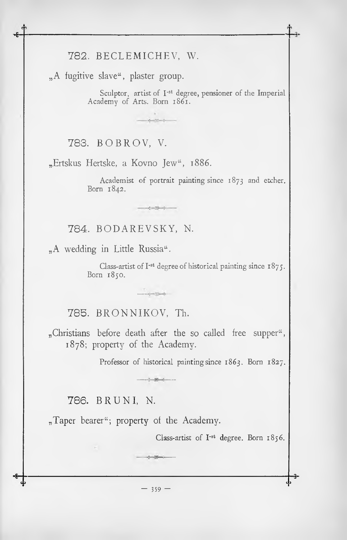### 782. BECLEMICHEV, W.

"A fugitive slave", plaster group.

Sculptor, artist of I<sup>-st</sup> degree, pensioner of the Imperial Academy of Arts. Born 1861.

 $-12 - 1$ 

 $-1 - \frac{16}{2} - 1 -$ 

 $-1 + 1$ 

783. BOBROV, V.

"Ertskus Hertske, a Kovno Jew", 1886.

Academist of portrait painting since 1873 and etcher. Born 1842.

784. BODAREVSKY, N.

"A wedding in Little Russia".

Class-artist of  $I<sup>-st</sup>$  degree of historical painting since  $1875$ . Born 1850.

785. BRONNIKOV, Th.

"Christians before death after the so called free supper", 1878; property of the Academy.

- 第一

Professor of historical painting since 1863. Born 1827.

786. BRUNI, N.

 $\sim$ 

 $_{n}$ Taper bearer"; property of the Academy.

Class-artist of I<sup>-st</sup> degree. Born 1856.

**--4- C** *3*

 $-359 -$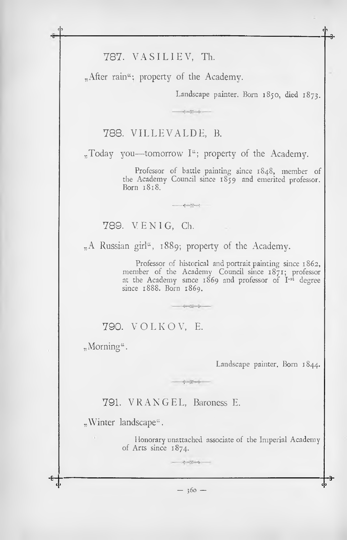# 787. VASILIEV, Th.

"After rain"; property of the Academy.

Landscape painter. Born 1850, died 1873.

# 788. VILLEVALDE. B.

"Today you—tomorrow I"; property of the Academy.

 $-1 - 12 - 4 -$ 

Professor of battle painting since 1848, member of the Academy Council since  $18\overline{5}9$  and emerited professor. Born 1818.

789. V.E.N.I.G. Ch.

"A Russian girl", 1889; property of the Academy.

 $\bullet$ 

Professor of historical and portrait painting since 1862, member of the Academy Council since 1871; professor at the Academy since 1869 and professor of I-st degree since 1888. Born 1869.

### 790. VOLKOV, E.

 $_{\gamma}$ Morning".

Landscape painter. Born 1844.

791. VRANGEL, Baroness E.

"Winter landscape".

Honorary unattached associate of the Imperial Academy of Arts since  $1874$ .

 $-360-$ 

 $\begin{picture}(20,20) \put(0,0){\vector(1,0){10}} \put(15,0){\vector(1,0){10}} \put(15,0){\vector(1,0){10}} \put(15,0){\vector(1,0){10}} \put(15,0){\vector(1,0){10}} \put(15,0){\vector(1,0){10}} \put(15,0){\vector(1,0){10}} \put(15,0){\vector(1,0){10}} \put(15,0){\vector(1,0){10}} \put(15,0){\vector(1,0){10}} \put(15,0){\vector(1,0){10}} \put(15,0){\vector(1$ 

1 2 1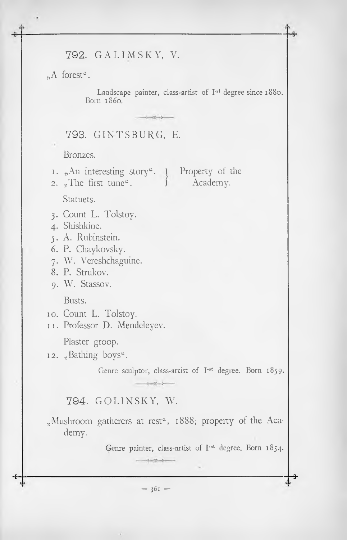### 792. G AL IM SK Y, V.

"A forest".

Landscape painter, class-artist of I<sup>-st</sup> degree since 1880. Born i860.

# 793. GIN TS BURG, E.

Bronzes.

1. "An interesting story". 1 Property of the

 $sec - c$ 

2. The first tune".  $\qquad$  Academy.

Statuets.

- 3. Count L. Tolstoy.
- 4. Shishkine.
- 5. A. Rubinstein.
- 6. P. Chaykovsky.
- 7. W. Vereshchaguine.

8. P. Strukov.

9. W. Stassov.

Busts.

- 10. Count L. Tolstoy.
- 11. Professor D. Mendeleyev.

Plaster groop.

12. "Bathing boys".

Genre sculptor, class-artist of I'st degree. Born 1859.

#### 794. GOLINSKY, W.

"Mushroom gatherers at rest", 1888; property of the Academy.

 $\frac{1}{2}$ 

Genre painter, class-artist of I<sup>-st</sup> degree. Born 1854.

**■H----------------------------------------------------------------------------------------------------------------------------------- 3-**  $-361 -$ 

 $\label{eq:reduced} \mathcal{E}_\text{p} = \mathcal{E}_\text{p}^{\text{R}} - \mathcal{E}_\text{p}^{\text{R}}$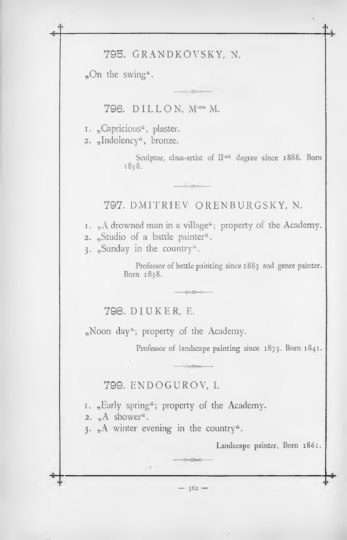# 795. GRANDKOVSKY, N.

 $n^{\text{On the swing}}$ .

796. DILLON, M-me M.

1. "Capricious", plaster. 2. "Indolency", bronze.

> Sculptor, class-artist of II<sup>-nd</sup> degree since 1888. Born 1858.

797. DMITRIEV ORENBURGSKY, N.

1.  $_{n}$ A drowned man in a village"; property of the Academy.

 $\rightarrow\frac{1}{2}\max\left\{\frac{1}{2}\left(\frac{1}{2}-\frac{1}{2}\right)\right\}$ 

2. "Studio of a battle painter".

3. "Sunday in the country".

Professor of battle painting since 1883 and genre painter. Born 1838.

798. DIUKER, E.

 $_{n}$ Noon day"; property of the Academy.

Professor of landscape painting since 1873. Born 1841.

799. ENDOGUROV, I.

1. "Early spring"; property of the Academy.

2.  $_{\eta}$ A shower".

3. "A winter evening in the country".

Landscape painter. Born 1861.

 $-362-$ 

 $\sim$   $\sim$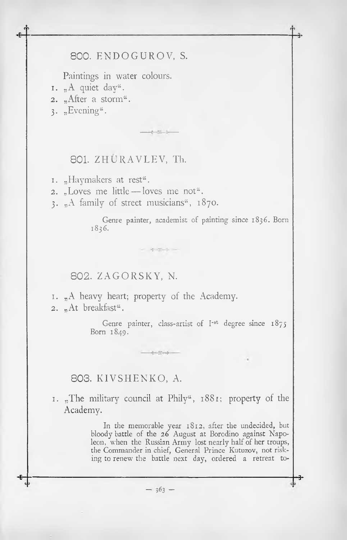### 800. ENDOGUROV, S.

Paintings in water colours.

- $1.$  "A quiet day".
- 2. "After a storm".
- $3.$  "Evening".

### 801. ZHURAVLEV, Th.

 $-111$ 

1. "Haymakers at rest".

- 2. "Loves me little—loves me not".
- 3. "A family of street musicians", 1870.

Genre painter, academist of painting since 1836. Born 1836.

#### 802. ZAGORSKY, N.

1. "A heavy heart; property of the Academy. 2. "At breakfast".

 $-47 - 1$ 

Genre painter, class-artist of  $I<sup>st</sup>$  degree since  $1875$ Born 1849.

#### 803. KIVSHENKO, A.

1. "The military council at Phily", 1881; property of the Academy.

and the color

In the memorable year 1812, after the undecided, but bloody battle of the 26 August at Borodino against Napoleon, when the Russian Army lost nearly half of her troups, the Commander in chief, General Prince Kutuzov, not risking to renew the battle next day, ordered a retreat to-

 $-363 -$ 

**S-------------------------------------------------------------------------------------------------------------------------------------- 3.**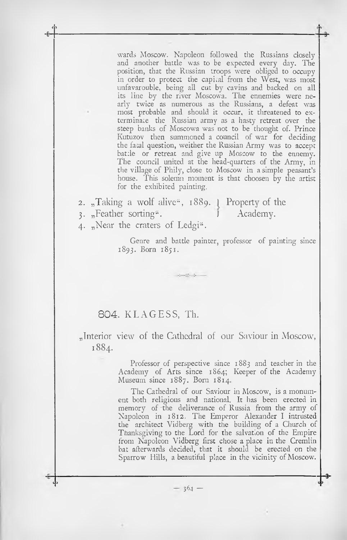wards Moscow. Napoleon followed the Russians closely and another battle was to be expected every day. The position, that the Russian troops were obliged to occupy in order to protect the capital from the West, was most unfavarouble, being all cut by cavins and backed on all its line by the river Moscowa. The ennemies were nearly twice as numerous as the Russians, a defeat was most probable and should it occur, it threatened to exterminate the Russian army as a hasty retreat over the steep banks of Moscowa was not to be thought of. Prince Kutuzov then summoned a council of war for deciding the fatal question, weither the Russian Army was to accept battle or retreat and give up Moscow to the ennemy. The council united at the head-quarters of the Army, in the village of Phily, close to Moscow in a simple peasant's house. 'Phis solemn moment is that choosen by the artist for the exhibited painting.

**2.** 3- "Taking a wolf alive", 1889. I Property of the "Feather sorting". *<sup>I</sup>* Academy.

 $-72 - 24$ 

4- "Near the craters of Ledgi".

**c ■> ■6—**

**C** *3*

Genre and battle painter, professor of painting since 1893. Born 1851.

### *804.* KL A G ESS, Th.

"Interior view of the Cathedral of our Saviour in Moscow, 1884.

> Academy Academy of Arts since 1864; Keeper of the Professor of perspective since 1883 and teacher in the Museum since 1887. Born 1814.

> The Cathedral of our Saviour in Moscow, is a monument both religious and national. It has been erected in memory of the deliverance of Russia from the army of Napoleon in 1812. The Emperor Alexander I intrusted the architect Vidberg with the building of a Church of Thanksgiving to the Lord for the salvation of the Empire from Napoleon Vidberg first chose a place in the Cremlin bat afterwards decided, that it should be erected on the Sparrow Hills, a beautiful place in the vicinity of Moscow.

> > **—3«**

 $-364 -$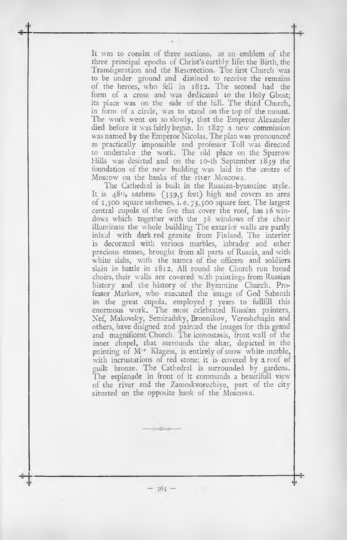It was to consist of three sections, as an emblem of the three principal epochs of Christ's earthly life: the Birth, the Transfiguration and the Resurection. The first Church was to be under ground and distined to receive the remains of the heroes, who fell in 1812. The second had the form of a cross and was dedicated to the Holy Ghost; its place was on the side of the hill. The third Church, in form of a circle, was to stand on the top of the mount. The work went on so slowly, that the Emperor Alexander died before it was fairly begun. In 1827 a new commission was named by the Emperor Nicolas. The plan was pronounced as practically impossible and professor Toll was directed to undertake the work. The old place on the Sparrow Hills was desirted and on the 10-th September 1839 the foundation of the new building was laid in the centre of Moscow on the banks of the river Moscowa.

The Cathedral is built in the Russian-bysantine style. It is  $48^{1/2}$  sazhens (339,5 feet) high and covers an area of 1,500 square sazhenes, i. e. 73,500 square feet. The largest central cupola of the five that cover the roof, has  $16$  windows which together with the 36 windows of the choir illuminate the whole building The exterior walls are partly inlaid with dark red granite from Finland. The interior is decorated with various marbles, labrador and other precious stones, brought from all parts of Russia, and with white slabs, with the names of the officers and soldiers slain in battle in 1812. All round the Church run broad choirs, their walls are covered with paintings from Russian history and the history of the Byzantine Church. Professor Markov, who executed the image of God Sabaoth in the great cupola, employed 5 years to fullfill this enormous work. The most celebrated Russian painters, Nef, Makovsky, Semiradsky, Bronnikov, Vereshchagin and others, have disigned and painted the images for this grand and magnificent Church. The iconostasis, front wall of the inner chapel, that surrounds the altar, depicted in the painting of M<sup>-r</sup> Klagess, is entirely of snow white marble, with incrustations of red stone; it is covered by a roof of guilt bronze. The Cathedral is surrounded by gardens. The esplanade in front of it commands a beautifull view of the river and the Zamoskvorechiye, part of the city situated un the opposite bank of the Moscowa.

 $-25 - 15$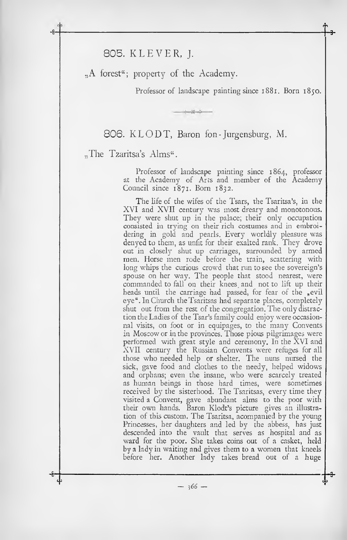805. KLEVER, J.

 $A$  forest<sup>"</sup>; property of the Academy.

Professor of landscape painting since 1881. Born 1850.

806. KLODT, Baron fon-Jurgensburg, M.

 $-16 - 16$ 

**•f**<sub>3</sub>

"The Tzaritsa's Alms".

Professor of landscape painting since 1864, professor at the Academy of Arts and member of the Academy Council since 1871. Bom 1832.

The life of the wifes of the Tsars, the Tsaritsa's, in the XVI and XVII century was most dreary and monotonous. They were shut up in the palace; their only occupation consisted in trying on their rich costumes and in embroidering in gold and pearls. Every worldly pleasure was denyed to them, as unfit for their exalted rank. They drove out in closely shut up carriages, surrounded by armed men. Horse men rode before the train, scattering with long whips the curious crowd that run to see the sovereign's spouse on her way. The people that stood nearest, were commanded to fall on their knees and not to lift up their heads until the carriage had passed, for fear of the ,evil eye". In Church the Tsaritsas had separate places, completely shut out from the rest of the congregation. The only distraction the Ladies of the Tsar's family could enjoy were occasionnai visits, on foot or in equipages, to the many Convents in Moscow or in the provinces. Those pious pilgrimages were performed with great style and ceremony. In the XVI and XVII century the Russian Convents were refuges for all those who needed help or shelter. The nuns nursed the sick, gave food and clothes to the needy, helped widows and orphans; even the insane, who were scarcely treated as human beings in those hard times, were sometimes received by the sisterhood. The Tsaritsas, every time they visited a Convent, gave abundant alms to the poor with their own hands. Baron Klodt's picture gives an illustration of this custom. The Tsaritsa, acompanied by the young Princesses, her daughters and led by the abbess, has just descended into the vault that serves as hospital and as ward for the poor. She takes coins out of a casket, held by a lady in waiting and gives them to a women that kneels before her. Another lady takes bread out of a huge

 $-366 -$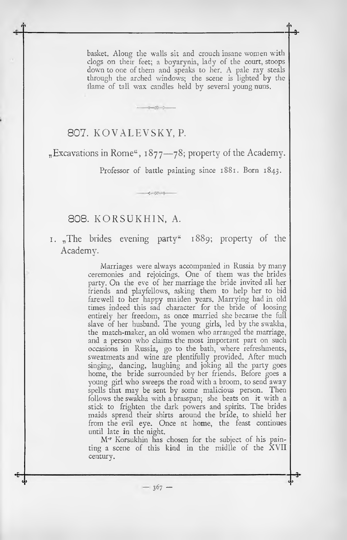basket. Along the walls sit and crouch insane women with clogs on their feet; a boyarynia, lady of the court, stoops down to one of them and speaks to her. A pale ray steals through the arched windows; the scene is lighted by the llame of tall wax candles held by several young nuns.

# 807. KOVALEVSKY, P.

 $n$ Excavations in Rome", 1877—78; property of the Academy.

**<sup>С</sup> <sup>5</sup> fî --------------------------------------------------------------------------------------------------------------------------------- 3-**

Guilletteret.

**Article** 

Professor of battle painting since 1881. Born 1843.

#### 808. KORSUKH1N, A.

1. The brides evening party  $1889$ ; property of the Academy.

> Marriages were always accompanied in Russia by many ceremonies and rejoicings. One of them was the brides party. On the eve of her marriage the bride invited all her friends and playfellows, asking them to help her to bid farewell to her happy maiden years. Marrying had in old times indeed this sad character for the bride of loosing entirely her freedom, as once married she became the full slave of her husband. The young girls, led by the swakha, the match-maker, an old women who arranged the marriage, and a person who claims the most important part on such occasions in Russia, go to the bath, where refreshments, sweatmeats and wine are plentifully provided. After much singing, dancing, laughing and joking all the party goes home, the bride surrounded by her friends. Before goes a young girl who sweeps the road with a broom, to send away spells that may be sent by some malicious person. Then follows the swakha with a brasspan; she beats on it with a stick to frighten the dark powers and spirits. The brides maids spread their shirts around the bride, to shield her from the evil eye. Once at home, the feast continues until late in the night.

> M'r Korsukhin has chosen for the subject of his painting a scene of this kind in the midlle of the XVII century.

> > $-367-$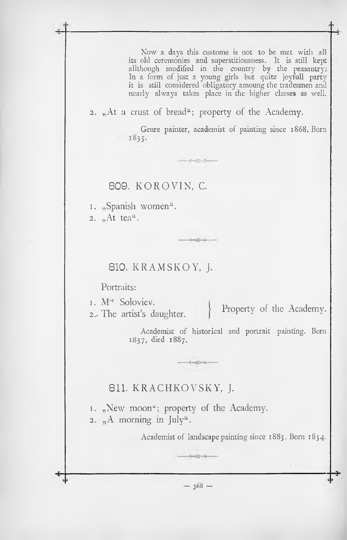Now a days this custome is not to be met with all its old ceremonies and superstitiousness. It is still kept allthough modified in the country by the peasantry; In a form of just a young girls but quite joyfull party it is still considered obligatory amoung the tradesmen and nearly always takes place in the higher classes as well.

2. "At a crust of bread"; property of the Academy.

 $+22 - 1 -$ 

Genre painter, academist of painting since 1868. Born 1835.

#### 809. KOROVIN, C.

1. "Spanish women". 2.  $<sub>m</sub>At tea<sup>a</sup>$ .</sub>

#### 810. KRAMSKOY, J.

Portraits:

1. M<sup>-r</sup> Soloviev.

2. The artist's daughter. Property of the Academy.

Sand Lands

 $-1$ 

Academist of historical and portrait painting. Born 1837, died 1887.

# 811. KRACHKOVSKY, J.

1. "New moon"; property of the Academy. 2.  $_{\text{A}}$  A morning in July".

Academist of landscape painting since 1885. Born 1854.

**■fr \***  $-368 -$ 

 $+32 - 14$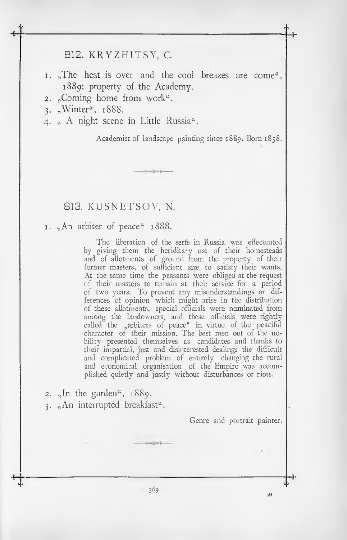### 812. KRYZHITSY, С.

1. "The heat is over and the cool breazes are come", 1889; property of the Academy.

 $-2 - 1$ 

- 2. "Coming home from work".
- 3. "Winter", 1888.

**С э**

4. "A night scene in Little Russia".

Academist of landscape painting since 1889. Born 1858.

#### 813. KUSNETSOV, N.

**I.** "An arbiter of peace" 1888.

The liberation of the serfs in Russia was effectuated by giving them the heriditary use of their homesteads and of allotments of ground from the property of their former masters, of sufficient size to satisfy their wants. At the same time the peasants were obliged at the request of their masters to remain at their service for a period of two years. To prevent any misunderstandings or differences of opinion which might arise in the distribution of these allotments, special officials were nominated from among the landowners, and these officials were rightly called the "arbiters of peace" in virtue of the peaciful character of their mission. The best men out of the nobility presented themselves as candidates and thanks to their impartial, just and disinterested dealings the difficult and complicated problem of entirely changing the rural and economical organisation of the Empire was accomplished quietly and justly without disturbances or riots.

2.  $\sqrt{n}$  the garden<sup>"</sup>, 1889. 3. "An interrupted breakfast".

Genre and portrait painter.

 $-369 -$ 

 $-25 - 3$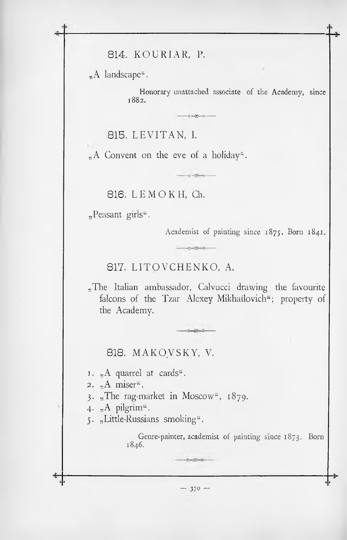814. KOURIAR, P.

"A landscape".

Honorary unattached associate of the Academy, since 1882.

 $\label{eq:3.1} \begin{split} \mathcal{L}_{\text{1}}(\mathcal{L}_{\text{2}}) = \mathcal{L}_{\text{2}}(\mathcal{L}_{\text{2}}) = \mathcal{L}_{\text{2}}(\mathcal{L}_{\text{2}}) = \mathcal{L}_{\text{2}}(\mathcal{L}_{\text{2}}) = \mathcal{L}_{\text{2}}(\mathcal{L}_{\text{2}}) = \mathcal{L}_{\text{2}}(\mathcal{L}_{\text{2}}) = \mathcal{L}_{\text{2}}(\mathcal{L}_{\text{2}}) = \mathcal{L}_{\text{2}}(\mathcal{L}_{\text{2}}) = \mathcal{L}_{\text{2}}(\mathcal$ 

815. LEVITAN, I.

"A Convent on the eve of a holiday".

816. LEMOKH. Ch.

"Peasant girls".

Academist of painting since 1875. Born 1841.

817. LITOVCHENKO, A.

"The Italian ambassador, Calvucci drawing the favourite falcons of the Tzar Alexey Mikhailovich"; property of the Academy.

 $m - 1$ 

 $-22 - 6$ 

818. MAKOVSKY, V.

 $1.$  "A quarrel at cards".

2. "A miser".

3. "The rag-market in Moscow",  $1879$ .

4. "A pilgrim".

5. "Little-Russians smoking".

Genre-painter, academist of painting since 1873. Born 1846.

 $-370-$ 

 $-2 - 2 - 4 -$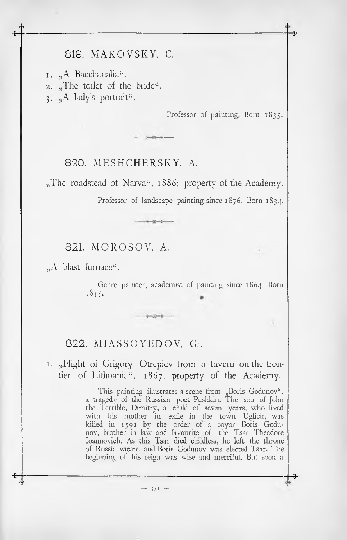# 819. MAKOVSKY, С.

1. "A Bacchanalia". 2. "The toilet of the bride". 3. "A lady's portrait".

Professor of painting. Born 1835.

**•9-**

**■3-**

#### 820. MESHCHERSKY, A.

"The roadstead of Narva", 1886; property of the Academy.

 $-1$ 

 $-10%$ 

Professor of landscape painting since 1876. Born 1834.

## 821. MOROSOV, A.

"A blast furnace".

Genre painter, academist of painting since 1864. Born 1835.

### 822. MIASSOYEDOV, Gr.

I. "Flight of Grigory Otrepiev from a tavern on the frontier of Lithuania", 1867; property of the Academy.

> This painting illustrates a scene from "Boris Godunov", a tragedy of the Russian poet Pushkin. The son of John the Terrible, Dimitry, a child of seven years, who lived with his mother in exile in the town Uglich, was killed in 1591 by the order of a boyar Boris Godunov, brother in law and favourite of the Tsar Theodore Ioannovich. As this Tsar died childless, he left the throne of Russia vacant and Boris Godunov was elected Tsar. The beginning of his reign was wise and merciful. But soon a

> > $-371 -$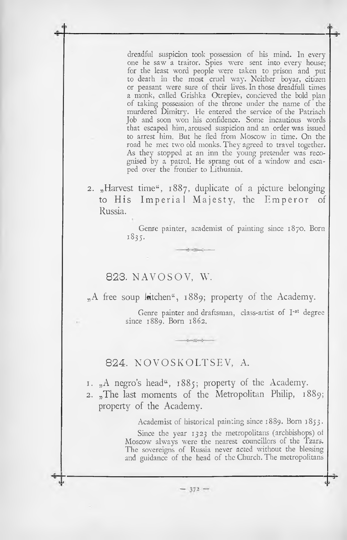dreadful suspicion took possession of his mind. In every one he saw a traitor. Spies were sent into every house; for the least word people were taken to prison and put to death in the most cruel way. Neither boyar, citizen or peasant were sure of their lives. In those dreadfull times a monk, called Grishka Otrepiev, concieved the bold plan of taking possession of the throne under the name of the murdered Dimitry. He entered the service of the Patriach Job and soon won liis confidence. Some incautious words that escaped him, aroused suspicion and an order was issued to arrest him. But he fled from Moscow in time. On the road he met two old monks. They agreed to travel together. As they stopped at an inn the young pretender was recognised by a patrol. He sprang out of a window and escaped over the frontier to Lithuania.

2.  $*$ Harvest time",  $1887$ , duplicate of a picture belonging to His Imperial Majesty, the Emperor of Russia.

> Genre painter, academist of painting since 1870. Born 1835.

823. NAVOSOV, W.

 $_{n}$ A free soup latchen", 1889; property of the Academy.

Genre painter and draftsman, class-artist of I<sup>-st</sup> degree since 1889. Born 1862.

#### 824. NOVOSKOLTSEV, A.

1. "A negro's head", 1885; property of the Academy.

 $-372-$ 

2.  $_{n}$ The last moments of the Metropolitan Philip, 1889; property of the Academy.

Academist of historical painting since 1889. Born 1853.

Since the year 1323 the metropolitans (archbishops) of Moscow always were the nearest councillors of the Tzars. The sovereigns of Russia never acted without the blessing and guidance of the head of the Church. The metropolitans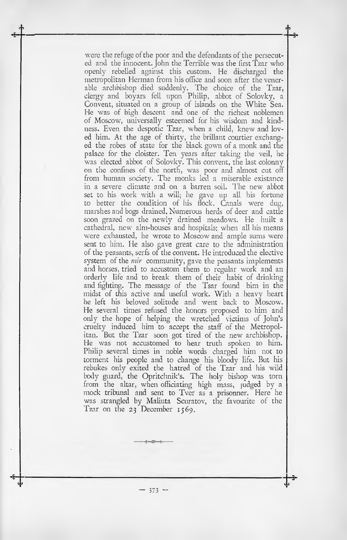were the refuge of the poor and the defendants of the persecuted and the innocent. John the Terrible was the first Tzar who openly rebelled against this custom. He discharged the metropolitan Herman from his office and soon after the venerable archbishop died suddenly. The choice of the Tzar, clergy and boyars fell upon Philip, abbot of Solovky, a Convent, situated on a group of islands on the White Sea. He was of high descent and one of the richest noblemen of Moscow, universally esteemed for his wisdom and kindness. Even the despotic Tzar, when a child, knew and loved him. At the age of thirty, the brillant courtier exchanged the robes of state for the black gown of a monk and the palace for the cloister. Ten years after taking the veil, he was elected abbot of Solovky. This convent, the last colonny on the confines of the north, was poor and almost cut off from human society. The monks led a miserable existance in a severe climate and on a barren soil. The new abbot set to his work with a will; he gave up all his fortune to better the condition of his flock. Canals were dug, marshes and bogs drained. Numerous herds of deer and cattle soon grazed on the newly drained meadows. He huilt a cathedral, new alm-houses and hospitals: when all his means were exhausted, he wrote to Moscow and ample sums were sent to him. He also gave great care to the administration of the peasants, serfs of the convent. He introduced the elective system of the *mir* community, gave the peasants implements and horses, tried to accustom them to regular work and an orderly life and to break them of their habit of drinking and fighting. The message of the Tsar found him in the midst of this active and useful work. With a heavy heart he left his beloved solitude and went back to Moscow. He several times refused the honors proposed to him and only the hope of helping the wretched victims of John's cruelty induced him to accept the staff of the Metropolitan. But the Tzar soon got tired of the new archbishop. He was not accustomed to hear truth spoken to him. Philip several times in noble words charged him not to torment his people and to change his bloody life. But his rebukes only exited the hatred of the Tzar and his wild body guard, the Opritchnik's. The holy bishop was torn from the altar, when officiating high mass, judged by a mock tribunal and sent to Tver as a prisonner. Here he was strangled by Maliuta Scuratov, the favourite of the Tzar on the 23 December 1569.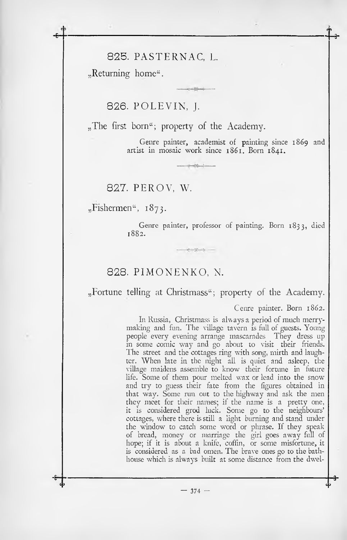#### 825. PASTERNAC, L.

 $R$ eturning home".

**•fr**

### 826. POLEVIN, J.

 $n_{\rm r}$ . The first born<sup>"</sup>; property of the Academy.

Genre painter, academist of painting since 1869 and artist in mosaic work since 1861. Born 1841.

827. PEROV, W.

"Fishermen", 1873.

Genre painter, professor of painting. Born 1833, died 1882.

#### 828. PIMONENKO, N.

"Fortune telling at Christmass"; property of the Academy.

 $-2 - 2$ 

Cenre painter. Born 1862.

In Russia, Christmass is always a period of much merrymaking and fun. The village tavern is full of guests. Young people every evening arrange mascarades They dress up in some comic way and go about to visit their friends. The street and the cottages ring with song, mirth and laughter. When late in the night all is quiet and asleep, the village maidens assemble to know their fortune in future life. Some of them pour melted wax or lead into the snow and try to guess their fate from the figures obtained in that way. Some run out to the highway and ask the men they meet for their names; if the name is a pretty one, it is considered grod luck. Some go to the neighbours' cottages, where there isstill a light burning and stand under the window to catch some word or phrase. If they speak of bread, money or marriage the girl goes away full of hope; if it is about a knife, coffin, or some misfortune, it is considered as a bad omen. The brave ones go to the bathhouse which is always built at some distance from the dwel-

 $-374 -$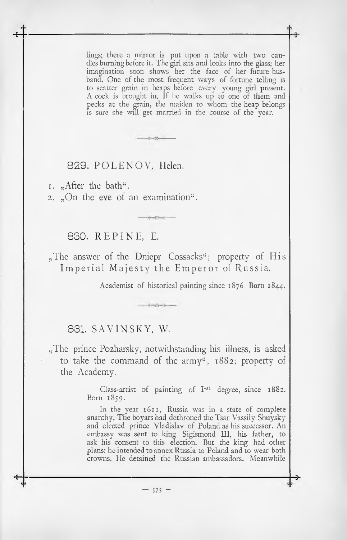lings; there a mirror is put upon a table with two candles burning before it. The girl sits and looks into the glass: her imagination soon shows her the face of her future husband. One of the most frequent ways of fortune telling is to scatter grain in heaps before every young girl present. A cock is brought in. If he walks up to one of them and pecks at the grain, the maiden to whom the heap belongs is sure she will get married in the course of the year.

#### 829. POLENOV, Helen.

1.  $<sub>n</sub>$ After the bath".</sub>

**•fr**

2.  $\sqrt{2}$ .  $\sqrt{2}$  on the eve of an examination.

### 830. REPINE, E.

"The answer of the Dniepr Cossacks"; property of His Imperial Majesty the Emperor of Russia.

 $-2 - 1$ 

Academist of historical painting since 1876. Born 1844.

### 831. SAVINSKY, W.

"The prince Pozharsky, notwithstanding his illness, is asked to take the command of the army", 1882; property of the Academy.

> Class-artist of painting of  $I<sup>-st</sup>$  degree, since 1882. Born 1859.

> In the year 1611, Russia was in a state of complete anarchy. The boyars had dethroned the Tsar Vassily Shuysky and elected prince Vladislav of Poland as his successor. An embassy was sent to king Sigismond III, his father, to ask his consent to this election. But the king had other plans: he intended to annex Russia to Poland and to wear both crowns. He detained the Russian ambassadors. Meanwhile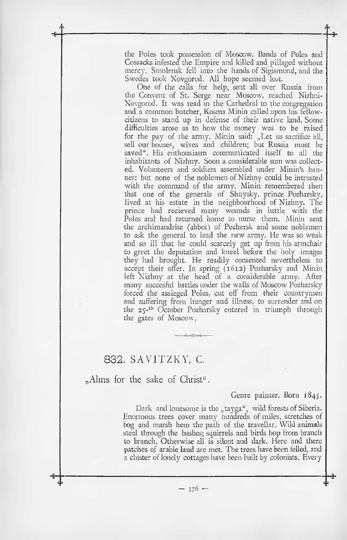the Poles took possession of Moscow. Bands of Poles and Cossacks infested the Empire and killed and pillaged without mercy. Smolensk fell into the hands of Sigismond, and the Swedes took Novgorod. All hope seemed lost.

 $\frac{1}{\sqrt{2}}$ 

One of the calls for help, sent all over Russia from the Convent of St. Serge near Moscow, reached Nizhni-Novgorod. It was read in the Carhedral to the congregation and a common butcher, Kosma Minin called upon his fellowcitizens to stand up in defense of their native land. Some difficulties arose as to how the money was to be raised for the pay of the army. Minin said: "Let us sacrifice all, sell our houses, wives and children; but Russia must be saved". His enthousiasm communicated itself to all the inhabitants of Nizhny. Soon a considerable sum was collected. Volunteers and soldiers assembled under Minin's banner: but none of the noblemen of Nizhny could be intrusted with the command of the army. Minin remembered then that one of the generals of Shuysky, prince Pozharsky, lived at his estate in the neighbourhood of Nizhny. The prince had recieved many wounds in battle with the Poles and had returned home to nurse them. Minin sent the archimandrite (abbot) of Pechersk and some noblemen to ask the general to lead the new army. He was so weak and so ill that he could scarcely get up from his armchair to greet the deputation and kneel before the holy images they had brought. He readily consented nevertheless to accept their offer. In spring (1612) Pozharsky and Minin left Nizhny at the head of a considerable army. After many succesful battles under the walls of Moscow Pozharsky forced the assiegcd Poles, cut off from their countrymen and suffering from hunger and illness, to surrender and on the 25-th October Pozharsky entered in triumph through the gates of Moscow.

### 832. SAVITZKY, C.

"Alms for the sake of Christ".

#### Genre painter. Born 1845.

Dark and lonesome is the  $n$  tayga", wild forests of Siberia. Enormous trees cover many hundreds of miles, stretches of bog and marsh hem the path of the travellar. Wild animals steal through the bushes; squirrels and birds hop from branch to branch. Otherwise all is silent and dark. Here and there patches of arable land are met. The trees have been felled, and a cluster of lonely cottages have been built by colonists. Every

 $-376-$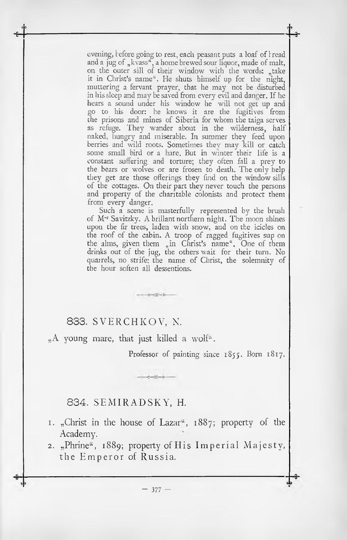evening, before going to rest, each peasant puts a loaf of bread and a jug of "kvass", a home brewed sour liquor, made of malt, on the outer sill of their window with the words: "take it in Christ's name". He shuts himself up for the night, muttering a fervant prayer, that he may not be disturbed in hissleep and may be saved from every evil and danger. If he hears a sound under his window he will not get up and go to his door: he knows it are the fugitives from the prisons and mines of Siberia for whom the taiga serves as refuge. They wander about in the wilderness, half naked, hungry and miserable. In summer they feed upon berries and wild roots. Sometimes they may kill or catch some small bird or a hare. But in winter their life is a constant suffering and torture; they often fall a prey to the bears or wolves or are frosen to death. The only help they get are those offerings they find on the window sills of the cottages. On their part they never touch the persons and property of the charitable colonists and protect them from every danger.

Such a scene is masterfully represented by the brush of M'r Savitzky. А brillant northern night. The moon shines upon the fir trees, laden with snow, and on the icicles on the roof of the cabin. A troop of ragged fugitives sup on the alms, given them "in Christ's name". One of them drinks out of the jug, the others wait for their turn. No quarrels, no strife; the name of Christ, the solemnity of the hour soften all dessentions.

### 833. SVERCHKOV, N.

 $_{n}$ A young mare, that just killed a wolf".

 $-25 - 1$ 

 $-3 - 3 - 5$ 

Professor of painting since 1855. Born 1817.

#### 834. SEMIRADSKY, H.

- 1. "Christ in the house of Lazar", 1887; property of the Academy.
- 2. "Phrine", 1889; property of His Imperial Majesty, the Emperor of Russia.

 $-377 -$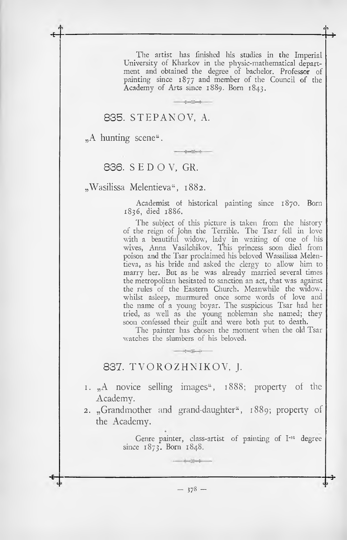The artist has finished his studies in the Imperial University of Kharkov in the physic-mathematical department and obtained the degree of bachelor. Professor of painting since 1877 and member of the Council of the Academy of Arts since 1889. Born 1843.

 $x = 10$ 

#### 835. STEPANOV, A.

 $.A$  hunting scene".

### 836. SEDOV. GR.

"Wasilissa Melentieva", 1882.

Academist of historical painting since 1870. Born 1836, died 1886.

The subject of this picture is taken from the history of the reign of John the Terrible. The Tsar fell in love with a beautiful widow, lady in waiting of one of his wives, Anna Vasilchikov. This princess soon died from poison and the Tsar proclaimed his beloved Wassilissa Melentieva, as his bride and asked the clergy to allow him to marry her. But as he was already married several times the metropolitan hesitated to sanction an act, that was against the rules of the Eastern Church. Meanwhile the widow, whilst asleep, murmured once some words of love and the name of a young boyar. The suspicious Tsar had her tried, as well as the young nobleman she named; they soon confessed their guilt and were both put to death.

The painter has chosen the moment when the old Tsar watches the slumbers of his beloved.

#### 837. TVOROZHNIKOV, J.

- 1. A novice selling images <sup>4</sup>, 1888; property of the Academy.
- 2. "Grandmother and grand-daughter", 1889; property of the Academy.

Genre painter, class-artist of painting of I-st degree since  $1873$ . Born  $1848$ .

 $-378-$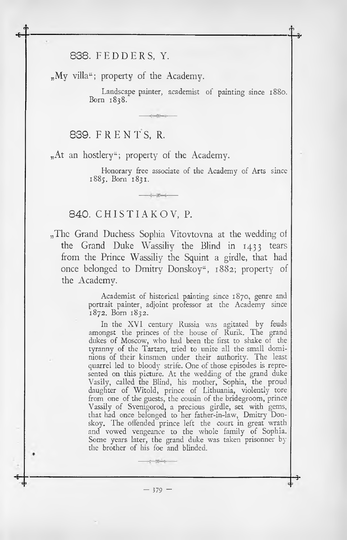838. FEDDERS, Y.

"My villa"; property of the Academy.

Landscape painter, academist of painting since 1880. Born 1838.

839. FRENTS, R.

"At an hostlery"; property of the Academy.

Honorary free associate of the Academy of Arts since 1885. Born 1831.

#### 840. CHISTIAKOV, P.

"The Grand Duchess Sophia Vitovtovna at the wedding of the Grand Duke Wassiliy the Blind in 1433 tears from the Prince Wassiliy the Squint a girdle, that had once belonged to Dmitry Donskoy", 1882; property of the Academy.

> Academist of historical painting since 1870, genre and portrait painter, adjoint professor at the Academy since 1872. Born 1832.

> In the XVI century Russia was agitated by feuds amongst the princes of the house of Rurik. The grand dukes of Moscow, who had been the first to shake of the tyranny of the Tartars, tried to unite all the small dominions of their kinsmen under their authority. The least quarrel led to bloody strife. One of those episodes is represented on this picture. At the wedding of the grand duke Vasily, called the Blind, his mother, Sophia, the proud daughter of Witold, prince of Lithuania, violently tore from one of the guests, the cousin of the bridegroom, prince Vassily of Svenigorod, a precious girdle, set with gems, that had once belonged to her father-in-law, Dmitry Donskoy. The offended prince left the court in great wrath and vowed vengeance to the whole family of Sophia. Some years later, the grand duke was taken prisonner by the brother of his foe and blinded.

**■8-------------------------------------------------------------------------------------------------------------------------------------- 3-**  $-379 -$ 

المستنفع المستمر